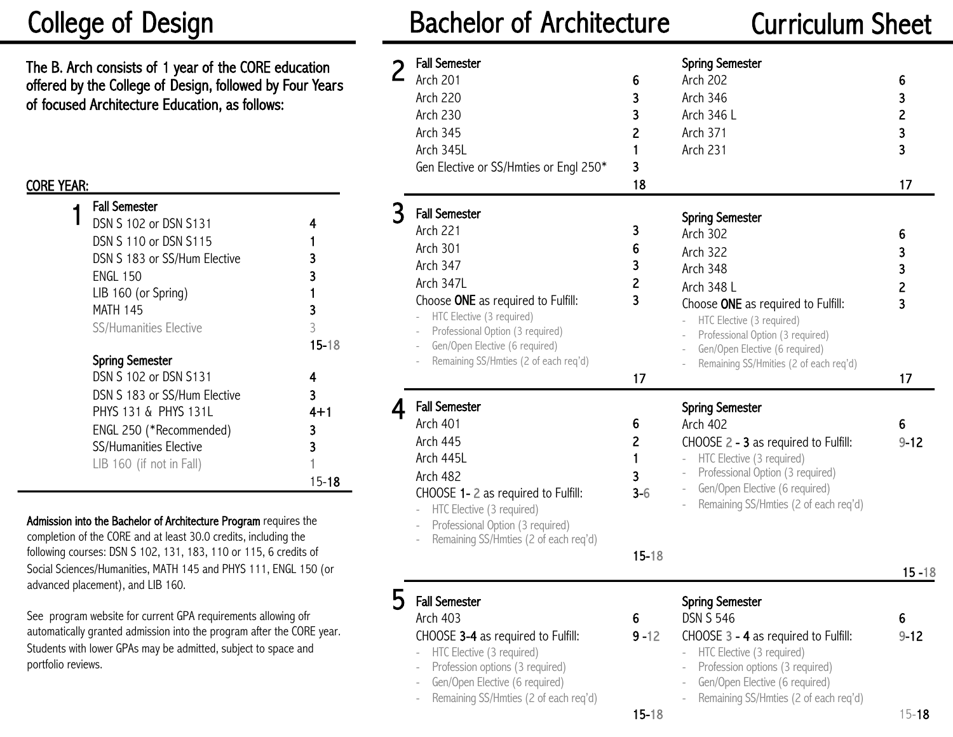# College of Design

The B. Arch consists of 1 year of the CORE education offered by the College of Design, followed by Four Years of focused Architecture Education, as follows:

## CORE YEAR:

| <b>Fall Semester</b>          |           |  |
|-------------------------------|-----------|--|
| DSN S 102 or DSN S131         | 4         |  |
| DSN S 110 or DSN S115         |           |  |
| DSN S 183 or SS/Hum Elective  | 3         |  |
| <b>ENGL 150</b>               | 3         |  |
| LIB 160 (or Spring)           |           |  |
| MATH 145                      | 3         |  |
| <b>SS/Humanities Elective</b> | 3         |  |
|                               | $15 - 18$ |  |
| <b>Spring Semester</b>        |           |  |
| DSN S 102 or DSN S131         | 4         |  |
| DSN S 183 or SS/Hum Elective  | 3         |  |
| PHYS 131 & PHYS 1311          | $4 + 1$   |  |
| ENGL 250 (*Recommended)       | 3         |  |
| <b>SS/Humanities Elective</b> | 3         |  |
| LIB 160 (if not in Fall)      |           |  |
|                               | 15-18     |  |

Admission into the Bachelor of Architecture Program requires the completion of the CORE and at least 30.0 credits, including the following courses: DSN S 102, 131, 183, 110 or 115, 6 credits of Social Sciences/Humanities, MATH 145 and PHYS 111, ENGL 150 (or advanced placement), and LIB 160.

See program website for current GPA requirements allowing ofr automatically granted admission into the program after the CORE year. Students with lower GPAs may be admitted, subject to space and portfolio reviews.

# Bachelor of Architecture Curriculum Sheet

| <b>Fall Semester</b><br>Arch 201<br><b>Arch 220</b><br><b>Arch 230</b><br><b>Arch 345</b><br>Arch 345L<br>Gen Elective or SS/Hmties or Engl 250*                                                                                                                      | 6<br>3<br>3<br>2<br>3<br>18                         | <b>Spring Semester</b><br><b>Arch 202</b><br><b>Arch 346</b><br>Arch 346 L<br><b>Arch 371</b><br><b>Arch 231</b>                                                                                                                                                          | 6<br>3<br>$\overline{c}$<br>3<br>3<br>17 |
|-----------------------------------------------------------------------------------------------------------------------------------------------------------------------------------------------------------------------------------------------------------------------|-----------------------------------------------------|---------------------------------------------------------------------------------------------------------------------------------------------------------------------------------------------------------------------------------------------------------------------------|------------------------------------------|
| <b>Fall Semester</b><br><b>Arch 221</b><br>Arch 301<br><b>Arch 347</b><br>Arch 347L<br>Choose ONE as required to Fulfill:<br>HTC Elective (3 required)<br>Professional Option (3 required)<br>Gen/Open Elective (6 required)<br>Remaining SS/Hmties (2 of each req'd) | 3<br>6<br>3<br>$\overline{c}$<br>3<br>17            | <b>Spring Semester</b><br><b>Arch 302</b><br><b>Arch 322</b><br>Arch 348<br>Arch 348 L<br>Choose ONE as required to Fulfill:<br>HTC Elective (3 required)<br>Professional Option (3 required)<br>Gen/Open Elective (6 required)<br>Remaining SS/Hmities (2 of each req'd) | 6<br>3<br>3<br>$\overline{c}$<br>3<br>17 |
| <b>Fall Semester</b><br>Arch 401<br><b>Arch 445</b><br>Arch 445L<br>Arch 482<br>CHOOSE 1-2 as required to Fulfill:<br>HTC Elective (3 required)<br>$\frac{1}{2}$<br>Professional Option (3 required)<br>Remaining SS/Hmties (2 of each req'd)                         | 6<br>$\overline{c}$<br>1<br>3<br>$3-6$<br>$15 - 18$ | <b>Spring Semester</b><br><b>Arch 402</b><br>CHOOSE 2 - 3 as required to Fulfill:<br>HTC Elective (3 required)<br>$\overline{\phantom{a}}$<br>Professional Option (3 required)<br>Gen/Open Elective (6 required)<br>Remaining SS/Hmties (2 of each req'd)                 | 6<br>$9 - 12$<br>$15 - 18$               |
| <b>Fall Semester</b><br>Arch 403<br>CHOOSE 3-4 as required to Fulfill:<br>HTC Elective (3 required)<br>Profession options (3 required)<br>Gen/Open Elective (6 required)<br>÷<br>Remaining SS/Hmties (2 of each req'd)                                                | 6<br>$9 - 12$<br>$15 - 18$                          | <b>Spring Semester</b><br><b>DSN S 546</b><br>CHOOSE 3 - 4 as required to Fulfill:<br>HTC Elective (3 required)<br>Profession options (3 required)<br>Gen/Open Elective (6 required)<br>Remaining SS/Hmties (2 of each req'd)                                             | 6<br>$9 - 12$<br>$15 - 18$               |